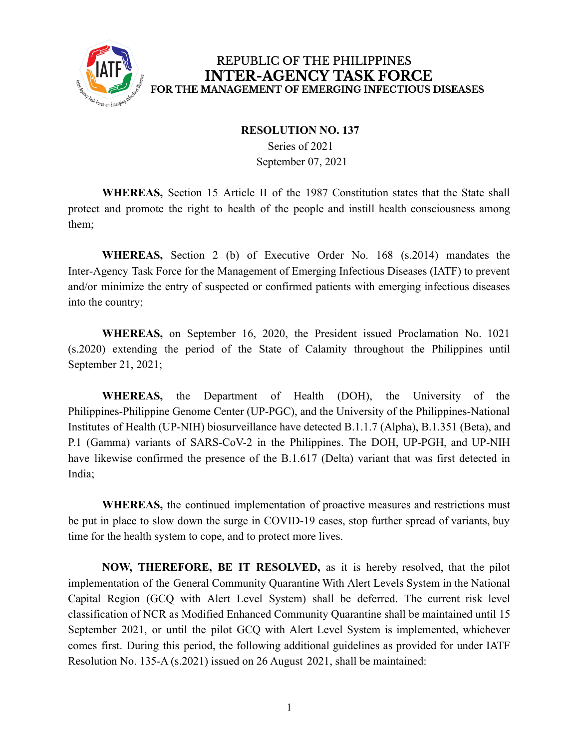

## REPUBLIC OF THE PHILIPPINES **INTER-AGENCY TASK FORCE** FOR THE MANAGEMENT OF EMERGING INFECTIOUS DISEASES

## **RESOLUTION NO. 137**

Series of 2021 September 07, 2021

**WHEREAS,** Section 15 Article II of the 1987 Constitution states that the State shall protect and promote the right to health of the people and instill health consciousness among them;

**WHEREAS,** Section 2 (b) of Executive Order No. 168 (s.2014) mandates the Inter-Agency Task Force for the Management of Emerging Infectious Diseases (IATF) to prevent and/or minimize the entry of suspected or confirmed patients with emerging infectious diseases into the country;

**WHEREAS,** on September 16, 2020, the President issued Proclamation No. 1021 (s.2020) extending the period of the State of Calamity throughout the Philippines until September 21, 2021;

**WHEREAS,** the Department of Health (DOH), the University of the Philippines-Philippine Genome Center (UP-PGC), and the University of the Philippines-National Institutes of Health (UP-NIH) biosurveillance have detected B.1.1.7 (Alpha), B.1.351 (Beta), and P.1 (Gamma) variants of SARS-CoV-2 in the Philippines. The DOH, UP-PGH, and UP-NIH have likewise confirmed the presence of the B.1.617 (Delta) variant that was first detected in India;

**WHEREAS,** the continued implementation of proactive measures and restrictions must be put in place to slow down the surge in COVID-19 cases, stop further spread of variants, buy time for the health system to cope, and to protect more lives.

**NOW, THEREFORE, BE IT RESOLVED,** as it is hereby resolved, that the pilot implementation of the General Community Quarantine With Alert Levels System in the National Capital Region (GCQ with Alert Level System) shall be deferred. The current risk level classification of NCR as Modified Enhanced Community Quarantine shall be maintained until 15 September 2021, or until the pilot GCQ with Alert Level System is implemented, whichever comes first. During this period, the following additional guidelines as provided for under IATF Resolution No. 135-A (s.2021) issued on 26 August 2021, shall be maintained: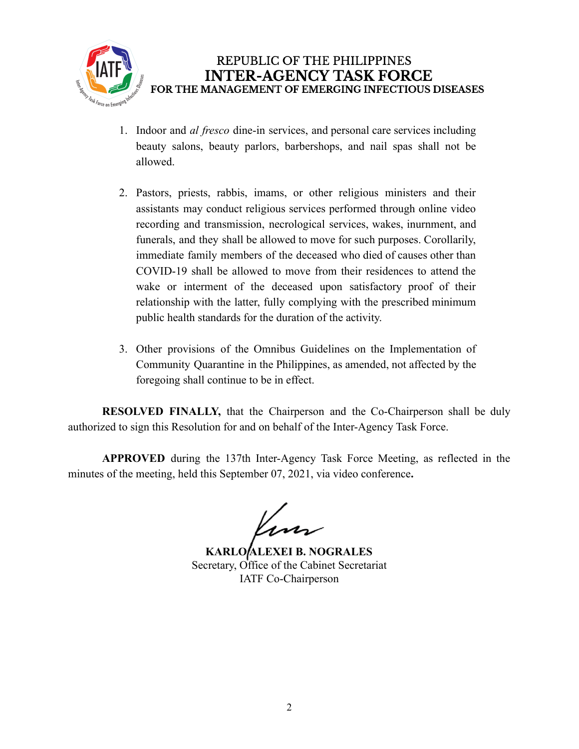

- 1. Indoor and *al fresco* dine-in services, and personal care services including beauty salons, beauty parlors, barbershops, and nail spas shall not be allowed.
- 2. Pastors, priests, rabbis, imams, or other religious ministers and their assistants may conduct religious services performed through online video recording and transmission, necrological services, wakes, inurnment, and funerals, and they shall be allowed to move for such purposes. Corollarily, immediate family members of the deceased who died of causes other than COVID-19 shall be allowed to move from their residences to attend the wake or interment of the deceased upon satisfactory proof of their relationship with the latter, fully complying with the prescribed minimum public health standards for the duration of the activity.
- 3. Other provisions of the Omnibus Guidelines on the Implementation of Community Quarantine in the Philippines, as amended, not affected by the foregoing shall continue to be in effect.

**RESOLVED FINALLY,** that the Chairperson and the Co-Chairperson shall be duly authorized to sign this Resolution for and on behalf of the Inter-Agency Task Force.

**APPROVED** during the 137th Inter-Agency Task Force Meeting, as reflected in the minutes of the meeting, held this September 07, 2021, via video conference**.**

Inn

**KARLO ALEXEI B. NOGRALES** Secretary, Office of the Cabinet Secretariat IATF Co-Chairperson